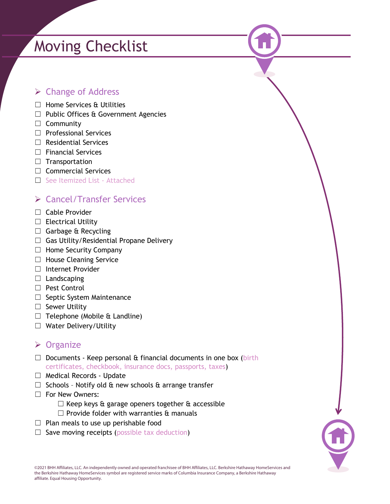# Moving Checklist

### **► Change of Address**

- ☐ Home Services & Utilities
- $\Box$  Public Offices & Government Agencies
- □ Community
- □ Professional Services
- ☐ Residential Services
- ☐ Financial Services
- □ Transportation
- ☐ Commercial Services
- ☐ See Itemized List Attached

## Cancel/Transfer Services

- □ Cable Provider
- ☐ Electrical Utility
- □ Garbage & Recycling
- $\Box$  Gas Utility/Residential Propane Delivery
- □ Home Security Company
- □ House Cleaning Service
- ☐ Internet Provider
- $\Box$  Landscaping
- □ Pest Control
- □ Septic System Maintenance
- ☐ Sewer Utility
- $\Box$  Telephone (Mobile & Landline)
- ☐ Water Delivery/Utility

#### **≻** Organize

- $\Box$  Documents Keep personal & financial documents in one box (birth certificates, checkbook, insurance docs, passports, taxes)
- □ Medical Records Update
- $\Box$  Schools Notify old & new schools & arrange transfer
- ☐ For New Owners:
	- $\Box$  Keep keys & garage openers together  $\alpha$  accessible
	- $\Box$  Provide folder with warranties  $\alpha$  manuals
- $\Box$  Plan meals to use up perishable food
- $\Box$  Save moving receipts (possible tax deduction)